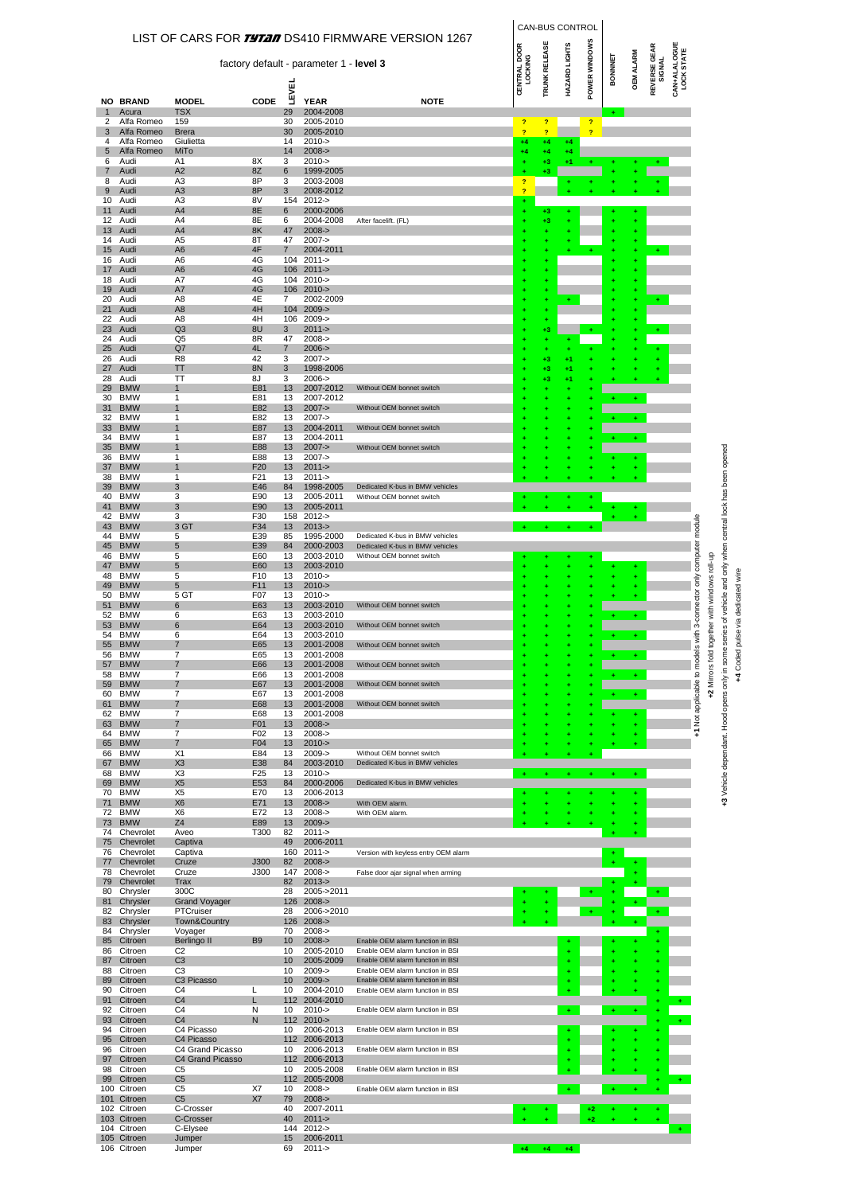|                     |                            |                                      |                        |                       |                                         |                                                                      |                         |                        | CAN-BUS CONTROL      |                |           |                  |                               |                            |                           |                       |                                                              |
|---------------------|----------------------------|--------------------------------------|------------------------|-----------------------|-----------------------------------------|----------------------------------------------------------------------|-------------------------|------------------------|----------------------|----------------|-----------|------------------|-------------------------------|----------------------------|---------------------------|-----------------------|--------------------------------------------------------------|
|                     |                            |                                      |                        |                       | factory default - parameter 1 - level 3 | LIST OF CARS FOR <i>TYTAN</i> DS410 FIRMWARE VERSION 1267            | CENTRAL DOOR<br>LOCKING | <b>TRUNK RELEASE</b>   | HAZARD LIGHTS        | POWER WINDOWS  | BONNNET   | <b>OEM ALARM</b> | <b>REVERSE GEAR</b><br>SIGNAL | CAN+ALALOGUE<br>LOCK STATE |                           |                       |                                                              |
|                     |                            |                                      |                        | LEVEI                 |                                         |                                                                      |                         |                        |                      |                |           |                  |                               |                            |                           |                       |                                                              |
| $\mathbf{1}$        | <b>NO BRAND</b><br>Acura   | <b>MODEL</b><br><b>TSX</b>           | CODE                   | 29                    | YEAR<br>2004-2008                       | <b>NOTE</b>                                                          |                         |                        |                      |                |           |                  |                               |                            |                           |                       |                                                              |
| 2                   | Alfa Romeo                 | 159                                  |                        | 30                    | 2005-2010                               |                                                                      | $\overline{ }$          | $\overline{ }$         |                      | $\overline{?}$ |           |                  |                               |                            |                           |                       |                                                              |
| 3<br>4              | Alfa Romeo<br>Alfa Romeo   | <b>Brera</b><br>Giulietta            |                        | 30<br>14              | 2005-2010<br>$2010 - >$                 |                                                                      | $\overline{?}$<br>$+4$  | $\overline{?}$<br>$+4$ | $+4$                 | $\overline{?}$ |           |                  |                               |                            |                           |                       |                                                              |
| 5                   | Alfa Romeo                 | MiTo                                 |                        | 14                    | $2008 - >$                              |                                                                      | $+4$                    | $+4$                   | +4                   |                |           |                  |                               |                            |                           |                       |                                                              |
| 6<br>$\overline{7}$ | Audi<br>Audi               | A1<br>A <sub>2</sub>                 | 8X<br>8Z               | 3<br>6                | $2010 - >$<br>1999-2005                 |                                                                      |                         | $^{+3}$<br>$+3$        |                      |                |           |                  |                               |                            |                           |                       |                                                              |
| 8                   | Audi                       | A <sub>3</sub><br>A <sub>3</sub>     | 8P<br>8P               | 3                     | 2003-2008<br>2008-2012                  |                                                                      | $\overline{?}$<br>b     |                        |                      |                |           |                  |                               |                            |                           |                       |                                                              |
| 9<br>10             | Audi<br>Audi               | A3                                   | 8V                     | 3                     | 154 2012->                              |                                                                      |                         |                        |                      |                |           |                  |                               |                            |                           |                       |                                                              |
| 11<br>12            | Audi<br>Audi               | A4<br>A4                             | 8E<br>8E               | 6<br>6                | 2000-2006<br>2004-2008                  | After facelift. (FL)                                                 |                         | $+3$<br>$+3$           |                      |                |           | ÷                |                               |                            |                           |                       |                                                              |
| 13                  | Audi                       | A4                                   | 8K                     | 47                    | $2008 - >$                              |                                                                      |                         | ٠                      |                      |                | ٠         | ÷                |                               |                            |                           |                       |                                                              |
| 14<br>15            | Audi<br>Audi               | A <sub>5</sub><br>A <sub>6</sub>     | 8T<br>4F               | 47<br>$\overline{7}$  | $2007 - >$<br>2004-2011                 |                                                                      |                         |                        |                      |                |           |                  |                               |                            |                           |                       |                                                              |
| 16                  | Audi                       | A6                                   | 4G                     |                       | 104 2011->                              |                                                                      |                         | ٠                      |                      |                |           |                  |                               |                            |                           |                       |                                                              |
| 17<br>18            | Audi<br>Audi               | A6<br>A7                             | 4G<br>4G               |                       | 106 2011-><br>104 2010->                |                                                                      |                         | ٠<br>٠                 |                      |                |           |                  |                               |                            |                           |                       |                                                              |
| 19<br>20            | Audi<br>Audi               | A7<br>A8                             | 4G<br>4E               | 106<br>$\overline{7}$ | $2010 - >$<br>2002-2009                 |                                                                      |                         | ٠                      |                      |                |           | ÷                |                               |                            |                           |                       |                                                              |
| 21                  | Audi                       | A <sub>8</sub>                       | 4H                     |                       | 104 2009->                              |                                                                      |                         | ٠<br>٠                 |                      |                |           |                  |                               |                            |                           |                       |                                                              |
| 22<br>23            | Audi<br>Audi               | A8<br>Q <sub>3</sub>                 | 4H<br>8U               | 106<br>3              | $2009 - >$<br>$2011 - >$                |                                                                      |                         | ÷<br>$^{+3}$           |                      | ÷              |           |                  |                               |                            |                           |                       |                                                              |
| 24                  | Audi                       | Q5                                   | 8R                     | 47                    | $2008 - 5$                              |                                                                      |                         | ÷                      |                      |                |           |                  |                               |                            |                           |                       |                                                              |
| 25<br>26            | Audi<br>Audi               | Q7<br>R <sub>8</sub>                 | 4L<br>42               | $\overline{7}$<br>3   | $2006 - >$<br>$2007 - >$                |                                                                      |                         | ٠<br>$+3$              | +1                   |                |           |                  |                               |                            |                           |                       |                                                              |
| 27                  | Audi                       | TΤ                                   | <b>8N</b>              | 3                     | 1998-2006                               |                                                                      |                         | $+3$                   | +1                   |                |           |                  |                               |                            |                           |                       |                                                              |
| 28<br>29            | Audi<br><b>BMW</b>         | TΤ<br>$\mathbf{1}$                   | 8J<br>E81              | 3<br>13               | $2006 -$<br>2007-2012                   | Without OEM bonnet switch                                            |                         | $^{+3}$                | +1                   |                |           |                  |                               |                            |                           |                       |                                                              |
| 30                  | <b>BMW</b>                 | 1                                    | E81                    | 13                    | 2007-2012                               |                                                                      |                         |                        |                      |                | ÷         | $\pm$            |                               |                            |                           |                       |                                                              |
| 31<br>32            | <b>BMW</b><br><b>BMW</b>   | $\mathbf{1}$<br>1                    | E82<br>E82             | 13<br>13              | $2007 - >$<br>$2007 - >$                | Without OEM bonnet switch                                            |                         |                        |                      |                |           | ÷                |                               |                            |                           |                       |                                                              |
| 33                  | <b>BMW</b><br><b>BMW</b>   | 1<br>1                               | E87                    | 13                    | 2004-2011                               | Without OEM bonnet switch                                            |                         |                        |                      |                |           |                  |                               |                            |                           |                       |                                                              |
| 34<br>35            | <b>BMW</b>                 | 1                                    | E87<br>E88             | 13<br>13              | 2004-2011<br>$2007 - >$                 | Without OEM bonnet switch                                            |                         |                        |                      |                |           |                  |                               |                            |                           |                       |                                                              |
| 36<br>37            | <b>BMW</b><br><b>BMW</b>   | 1<br>$\mathbf{1}$                    | E88<br>F20             | 13<br>13              | $2007 -$<br>$2011 - >$                  |                                                                      |                         |                        |                      |                |           |                  |                               |                            |                           |                       |                                                              |
| 38                  | <b>BMW</b>                 | 1                                    | F <sub>21</sub>        | 13                    | $2011 -$                                |                                                                      |                         |                        |                      |                |           |                  |                               |                            |                           |                       | series of vehicle and only when central lock has been opened |
| 39<br>40            | <b>BMW</b><br><b>BMW</b>   | 3<br>3                               | E46<br>E90             | 84<br>13              | 1998-2005<br>2005-2011                  | Dedicated K-bus in BMW vehicles<br>Without OEM bonnet switch         |                         |                        |                      |                |           |                  |                               |                            |                           |                       |                                                              |
| 41                  | <b>BMW</b>                 | 3                                    | E90                    | 13                    | 2005-2011                               |                                                                      |                         |                        |                      |                |           |                  |                               |                            |                           |                       |                                                              |
| 42<br>43            | <b>BMW</b><br><b>BMW</b>   | 3<br>3 GT                            | F30<br>F34             | 13                    | 158 2012-><br>$2013 - >$                |                                                                      |                         |                        |                      |                |           |                  |                               |                            | module                    |                       |                                                              |
| 44                  | <b>BMW</b>                 | 5                                    | E39                    | 85                    | 1995-2000                               | Dedicated K-bus in BMW vehicles                                      |                         |                        |                      |                |           |                  |                               |                            |                           |                       |                                                              |
| 45<br>46            | <b>BMW</b><br><b>BMW</b>   | 5<br>5                               | E39<br>E60             | 84<br>13              | 2000-2003<br>2003-2010                  | Dedicated K-bus in BMW vehicles<br>Without OEM bonnet switch         |                         |                        |                      |                |           |                  |                               |                            | 3-connector only computer |                       |                                                              |
| 47                  | <b>BMW</b>                 | 5                                    | E60                    | 13                    | 2003-2010                               |                                                                      |                         |                        |                      |                |           |                  |                               |                            |                           | roll-up               |                                                              |
| 48<br>49            | <b>BMW</b><br><b>BMW</b>   | 5<br>5                               | F10<br>F <sub>11</sub> | 13<br>13              | $2010 - >$<br>$2010 - >$                |                                                                      |                         |                        |                      |                |           | ÷                |                               |                            |                           | together with windows | +4 Coded pulse via dedicated wire                            |
| 50                  | <b>BMW</b>                 | 5 GT                                 | F <sub>0</sub> 7       | 13                    | $2010 - 5$                              | Without OEM bonnet switch                                            |                         |                        |                      |                |           | ÷                |                               |                            |                           |                       |                                                              |
| 51<br>52            | <b>BMW</b><br><b>BMW</b>   | 6<br>6                               | E63<br>E63             | 13<br>13              | 2003-2010<br>2003-2010                  |                                                                      |                         |                        |                      |                |           | ÷                |                               |                            |                           |                       |                                                              |
| 53                  | <b>BMW</b><br><b>BMW</b>   | 6<br>6                               | E64<br>E64             | 13                    | 2003-2010                               | Without OEM bonnet switch                                            |                         |                        |                      |                |           |                  |                               |                            |                           |                       |                                                              |
| 54<br>55            | <b>BMW</b>                 | $\overline{7}$                       | E65                    | 13<br>13              | 2003-2010<br>2001-2008                  | Without OEM bonnet switch                                            |                         |                        |                      |                |           | ÷                |                               |                            | with<br>$\Omega$          |                       | $\mathbf{Q}$                                                 |
| 56                  | <b>BMW</b><br><b>BMW</b>   | 7                                    | E65<br>E66             | 13                    | 2001-2008                               |                                                                      |                         |                        |                      |                |           |                  |                               |                            |                           |                       |                                                              |
| 57<br>58            | <b>BMW</b>                 | 7<br>7                               | E66                    | 13<br>13              | 2001-2008<br>2001-2008                  | Without OEM bonnet switch                                            |                         |                        |                      |                |           | $\pm$            |                               |                            |                           | Mirrors fold          |                                                              |
| 59<br>60            | <b>BMW</b><br><b>BMW</b>   | $\overline{7}$<br>7                  | E67<br>E67             | 13<br>13              | 2001-2008<br>2001-2008                  | Without OEM bonnet switch                                            |                         |                        |                      |                |           | ÷.               |                               |                            | +1 Not applicable to mode | ٩Î                    |                                                              |
| 61                  | <b>BMW</b>                 | 7                                    | E68                    | 13                    | 2001-2008                               | Without OEM bonnet switch                                            |                         |                        |                      |                |           |                  |                               |                            |                           |                       |                                                              |
| 62<br>63            | <b>BMW</b><br><b>BMW</b>   | 7<br>$\overline{7}$                  | E68<br>F01             | 13<br>13              | 2001-2008<br>$2008 - >$                 |                                                                      |                         |                        |                      |                |           | ÷                |                               |                            |                           |                       |                                                              |
| 64                  | <b>BMW</b>                 | $\overline{7}$                       | F <sub>02</sub>        | 13                    | $2008 - 5$                              |                                                                      |                         |                        |                      |                |           |                  |                               |                            |                           |                       |                                                              |
| 65<br>66            | <b>BMW</b><br><b>BMW</b>   | 7<br>X1                              | F04<br>E84             | 13<br>13              | $2010 - >$<br>$2009 - >$                | Without OEM bonnet switch                                            |                         |                        |                      |                |           |                  |                               |                            |                           |                       |                                                              |
| 67<br>68            | <b>BMW</b><br><b>BMW</b>   | X <sub>3</sub><br>X <sub>3</sub>     | E38<br>F <sub>25</sub> | 84<br>13              | 2003-2010<br>$2010 - >$                 | Dedicated K-bus in BMW vehicles                                      |                         |                        |                      | ٠              |           |                  |                               |                            |                           |                       |                                                              |
| 69                  | <b>BMW</b>                 | X <sub>5</sub>                       | E53                    | 84                    | 2000-2006                               | Dedicated K-bus in BMW vehicles                                      | $\ddot{}$               | ٠                      |                      |                | ÷         | ÷                |                               |                            |                           |                       | +3 Vehicle dependant. Hood opens only in sor                 |
| 70<br>71            | <b>BMW</b><br><b>BMW</b>   | X <sub>5</sub><br>X <sub>6</sub>     | E70<br>E71             | 13<br>13              | 2006-2013<br>$2008 - >$                 | With OEM alarm.                                                      |                         |                        |                      |                |           |                  |                               |                            |                           |                       |                                                              |
| 72                  | <b>BMW</b>                 | X <sub>6</sub>                       | E72                    | 13                    | $2008 - 5$                              | With OEM alarm.                                                      | ٠                       |                        |                      |                |           |                  |                               |                            |                           |                       |                                                              |
| 73<br>74            | <b>BMW</b><br>Chevrolet    | Z <sub>4</sub><br>Aveo               | E89<br>T300            | 13<br>82              | $2009 - >$<br>$2011 -$                  |                                                                      |                         |                        |                      |                |           |                  |                               |                            |                           |                       |                                                              |
| 75                  | Chevrolet                  | Captiva                              |                        | 49                    | 2006-2011                               |                                                                      |                         |                        |                      |                |           |                  |                               |                            |                           |                       |                                                              |
| 76<br>77            | Chevrolet<br>Chevrolet     | Captiva<br>Cruze                     | J300                   | 160<br>82             | 2011-><br>$2008 - >$                    | Version with keyless entry OEM alarm                                 |                         |                        |                      |                |           |                  |                               |                            |                           |                       |                                                              |
| 78                  | Chevrolet<br>Chevrolet     | Cruze                                | J300                   | 82                    | 147 2008-><br>$2013 - 5$                | False door ajar signal when arming                                   |                         |                        |                      |                |           |                  |                               |                            |                           |                       |                                                              |
| 79<br>80            | Chrysler                   | Trax<br>300C                         |                        | 28                    | 2005->2011                              |                                                                      |                         |                        |                      |                |           |                  |                               |                            |                           |                       |                                                              |
| 81<br>82            | Chrysler<br>Chrysler       | <b>Grand Voyager</b><br>PTCruiser    |                        | 126<br>28             | $2008 - >$<br>2006->2010                |                                                                      |                         |                        |                      |                |           |                  |                               |                            |                           |                       |                                                              |
| 83                  | Chrysler                   | Town&Country                         |                        | 126                   | $2008 - >$                              |                                                                      |                         |                        |                      |                |           | ÷                |                               |                            |                           |                       |                                                              |
| 84<br>85            | Chrysler<br>Citroen        | Voyager<br>Berlingo II               | B <sub>9</sub>         | 70<br>10              | $2008 - 5$<br>$2008 - >$                | Enable OEM alarm function in BSI                                     |                         |                        |                      |                |           |                  |                               |                            |                           |                       |                                                              |
| 86                  | Citroen                    | C <sub>2</sub>                       |                        | 10                    | 2005-2010                               | Enable OEM alarm function in BSI                                     |                         |                        |                      |                |           |                  |                               |                            |                           |                       |                                                              |
| 87<br>88            | Citroen<br>Citroen         | C <sub>3</sub><br>C <sub>3</sub>     |                        | 10<br>10              | 2005-2009<br>$2009 - >$                 | Enable OEM alarm function in BSI<br>Enable OEM alarm function in BSI |                         |                        |                      |                |           |                  |                               |                            |                           |                       |                                                              |
| 89                  | Citroen                    | C <sub>3</sub> Picasso               |                        | 10                    | $2009 - >$                              | Enable OEM alarm function in BSI                                     |                         |                        |                      |                |           |                  |                               |                            |                           |                       |                                                              |
| 90<br>91            | Citroen<br>Citroen         | C <sub>4</sub><br>C <sub>4</sub>     | L<br>L                 | 10<br>112             | 2004-2010<br>2004-2010                  | Enable OEM alarm function in BSI                                     |                         |                        |                      |                |           |                  |                               |                            |                           |                       |                                                              |
| 92                  | Citroen                    | C <sub>4</sub>                       | N                      | 10                    | $2010 - >$                              | Enable OEM alarm function in BSI                                     |                         |                        | $\ddot{\phantom{1}}$ |                | $\ddot{}$ | ÷                |                               |                            |                           |                       |                                                              |
| 93<br>94            | Citroen<br>Citroen         | C <sub>4</sub><br>C4 Picasso         | N                      | 112<br>10             | $2010 - >$<br>2006-2013                 | Enable OEM alarm function in BSI                                     |                         |                        |                      |                |           |                  |                               |                            |                           |                       |                                                              |
| 95                  | Citroen                    | C4 Picasso                           |                        | 112                   | 2006-2013                               |                                                                      |                         |                        |                      |                |           |                  |                               |                            |                           |                       |                                                              |
| 96<br>97            | Citroen<br>Citroen         | C4 Grand Picasso<br>C4 Grand Picasso |                        | 10<br>112             | 2006-2013<br>2006-2013                  | Enable OEM alarm function in BSI                                     |                         |                        |                      |                |           |                  |                               |                            |                           |                       |                                                              |
| 98                  | Citroen                    | C <sub>5</sub>                       |                        | 10                    | 2005-2008                               | Enable OEM alarm function in BSI                                     |                         |                        |                      |                |           |                  |                               |                            |                           |                       |                                                              |
| 99<br>100           | Citroen<br>Citroen         | C <sub>5</sub><br>C <sub>5</sub>     | X7                     | 112<br>10             | 2005-2008<br>$2008 - 5$                 | Enable OEM alarm function in BSI                                     |                         |                        | $\pm$                |                | ÷         | ÷                |                               |                            |                           |                       |                                                              |
| 101                 | Citroen<br>102 Citroen     | C <sub>5</sub><br>C-Crosser          | X7                     | 79<br>40              | $2008 - >$<br>2007-2011                 |                                                                      |                         |                        |                      | $+2$           |           |                  |                               |                            |                           |                       |                                                              |
| 103                 | Citroen                    | C-Crosser                            |                        | 40                    | $2011 - >$                              |                                                                      |                         |                        |                      |                |           |                  |                               |                            |                           |                       |                                                              |
|                     | 104 Citroen<br>105 Citroen | C-Elysee<br>Jumper                   |                        | 15                    | 144 2012-><br>2006-2011                 |                                                                      |                         |                        |                      |                |           |                  |                               |                            |                           |                       |                                                              |
|                     | 106 Citroen                | Jumper                               |                        | 69                    | $2011 -$                                |                                                                      | $+4$                    | $+4$                   | $+4$                 |                |           |                  |                               |                            |                           |                       |                                                              |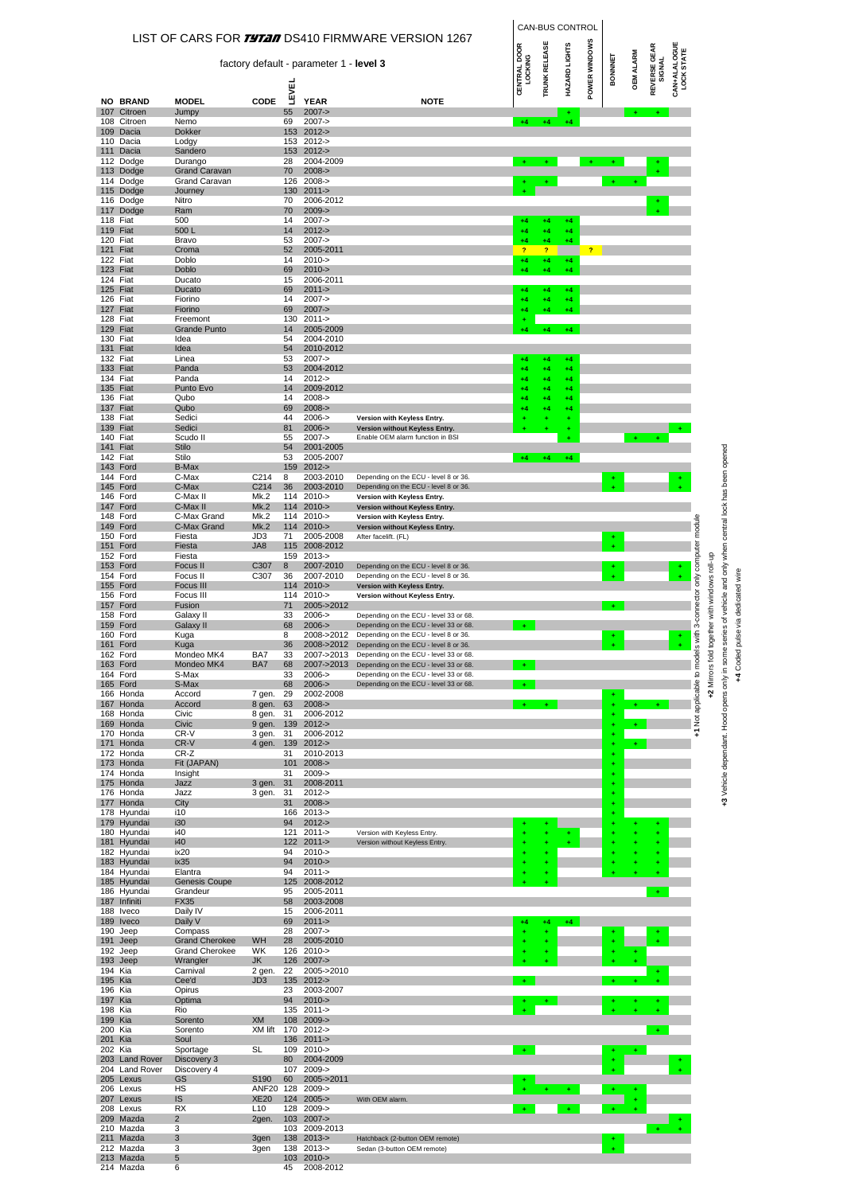|                      |                                  |                                                |                           |              |                                         | LIST OF CARS FOR <i>TYTAI</i> DS410 FIRMWARE VERSION 1267                                 |                         | CAN-BUS CONTROL               |               |               |                |                  |                               |                                   |                                                                       |                                                                                          |
|----------------------|----------------------------------|------------------------------------------------|---------------------------|--------------|-----------------------------------------|-------------------------------------------------------------------------------------------|-------------------------|-------------------------------|---------------|---------------|----------------|------------------|-------------------------------|-----------------------------------|-----------------------------------------------------------------------|------------------------------------------------------------------------------------------|
|                      |                                  |                                                |                           |              | factory default - parameter 1 - level 3 |                                                                                           | CENTRAL DOOR<br>LOCKING | TRUNK RELEASE                 | HAZARD LIGHTS | POWER WINDOWS | <b>BONNNET</b> | <b>OEM ALARM</b> | <b>REVERSE GEAR</b><br>SIGNAL | <b>CAN+ALALOGUE</b><br>LOCK STATE |                                                                       |                                                                                          |
|                      | <b>NO BRAND</b>                  | <b>MODEL</b>                                   | CODE                      | <b>LEVEL</b> | <b>YEAR</b>                             | <b>NOTE</b>                                                                               |                         |                               |               |               |                |                  |                               |                                   |                                                                       |                                                                                          |
|                      | 107 Citroen<br>108 Citroen       | Jumpy<br>Nemo                                  |                           | 55<br>69     | $2007 - >$<br>$2007 - >$                |                                                                                           | $+4$                    |                               | +4            |               |                |                  |                               |                                   |                                                                       |                                                                                          |
|                      | 109 Dacia                        | <b>Dokker</b>                                  |                           | 153          | $2012 -$                                |                                                                                           |                         |                               |               |               |                |                  |                               |                                   |                                                                       |                                                                                          |
|                      | 110 Dacia<br>111 Dacia           | Lodgy<br>Sandero                               |                           | 153<br>153   | $2012 -$<br>$2012 - 5$                  |                                                                                           |                         |                               |               |               |                |                  |                               |                                   |                                                                       |                                                                                          |
|                      | 112 Dodge<br>113 Dodge           | Durango<br><b>Grand Caravan</b>                |                           | 28<br>70     | 2004-2009<br>$2008 - >$                 |                                                                                           |                         |                               |               |               |                |                  |                               |                                   |                                                                       |                                                                                          |
|                      | 114 Dodge<br>115 Dodge           | <b>Grand Caravan</b><br>Journey                |                           | 126<br>130   | $2008 - 5$<br>$2011 - >$                |                                                                                           |                         | $+$                           |               |               |                |                  |                               |                                   |                                                                       |                                                                                          |
|                      | 116 Dodge<br>117 Dodge           | Nitro                                          |                           | 70<br>70     | 2006-2012<br>$2009 - >$                 |                                                                                           |                         |                               |               |               |                |                  |                               |                                   |                                                                       |                                                                                          |
| 118                  | Fiat                             | Ram<br>500                                     |                           | 14           | $2007 -$                                |                                                                                           | $+4$                    | $+4$                          | $+4$          |               |                |                  |                               |                                   |                                                                       |                                                                                          |
| 119<br>120 Fiat      | Fiat                             | 500 L<br>Bravo                                 |                           | 14<br>53     | $2012 - 5$<br>$2007 - >$                |                                                                                           | $+4$<br>$+4$            | $+4$<br>$+4$                  | +4<br>$+4$    |               |                |                  |                               |                                   |                                                                       |                                                                                          |
| 121<br>122 Fiat      | Fiat                             | Croma<br>Doblo                                 |                           | 52<br>14     | 2005-2011<br>$2010 - >$                 |                                                                                           | <sub>2</sub><br>$+4$    | $\overline{\mathbf{r}}$<br>+4 | $+4$          |               |                |                  |                               |                                   |                                                                       |                                                                                          |
| 123 Fiat<br>124 Fiat |                                  | Doblo<br>Ducato                                |                           | 69<br>15     | $2010 - >$<br>2006-2011                 |                                                                                           | $+4$                    | $+4$                          | $+4$          |               |                |                  |                               |                                   |                                                                       |                                                                                          |
| 125 Fiat             |                                  | Ducato                                         |                           | 69           | $2011 - >$                              |                                                                                           | 44                      | +4                            | +4            |               |                |                  |                               |                                   |                                                                       |                                                                                          |
| 126 Fiat<br>127 Fiat |                                  | Fiorino<br>Fiorino                             |                           | 14<br>69     | $2007 - >$<br>$2007 - >$                |                                                                                           | $+4$<br>+4              | $+4$<br>+4                    | $+4$<br>$+4$  |               |                |                  |                               |                                   |                                                                       |                                                                                          |
| 128 Fiat<br>129 Fiat |                                  | Freemont<br><b>Grande Punto</b>                |                           | 130<br>14    | $2011 -$<br>2005-2009                   |                                                                                           | ÷                       | $+4$                          | $+4$          |               |                |                  |                               |                                   |                                                                       |                                                                                          |
| 130 Fiat<br>131 Fiat |                                  | Idea<br>Idea                                   |                           | 54<br>54     | 2004-2010<br>2010-2012                  |                                                                                           |                         |                               |               |               |                |                  |                               |                                   |                                                                       |                                                                                          |
| 132 Fiat             |                                  | Linea                                          |                           | 53           | $2007 - >$                              |                                                                                           | $+4$                    | $+4$                          | +4            |               |                |                  |                               |                                   |                                                                       |                                                                                          |
| 133 Fiat<br>134 Fiat |                                  | Panda<br>Panda                                 |                           | 53<br>14     | 2004-2012<br>$2012 -$                   |                                                                                           | +4<br>44                | $+4$<br>$+4$                  | +4<br>$+4$    |               |                |                  |                               |                                   |                                                                       |                                                                                          |
| 135 Fiat<br>136 Fiat |                                  | Punto Evo<br>Qubo                              |                           | 14<br>14     | 2009-2012<br>$2008 - 5$                 |                                                                                           | +4<br>44                | $^{+4}$<br>+4                 | +4<br>44      |               |                |                  |                               |                                   |                                                                       |                                                                                          |
| 137 Fiat<br>138 Fiat |                                  | Qubo<br>Sedici                                 |                           | 69<br>44     | $2008 - >$<br>$2006 -$                  | Version with Keyless Entry.                                                               | 44                      | $+4$                          | 44            |               |                |                  |                               |                                   |                                                                       |                                                                                          |
| 139 Fiat             |                                  | Sedici                                         |                           | 81           | $2006 - >$                              | Version without Keyless Entry.                                                            |                         |                               |               |               |                |                  |                               |                                   |                                                                       |                                                                                          |
| 140 Fiat<br>141 Fiat |                                  | Scudo II<br><b>Stilo</b>                       |                           | 55<br>54     | $2007 - >$<br>2001-2005                 | Enable OEM alarm function in BSI                                                          |                         |                               |               |               |                |                  |                               |                                   |                                                                       |                                                                                          |
| 142 Fiat<br>143      | Ford                             | Stilo<br><b>B-Max</b>                          |                           | 53<br>159    | 2005-2007<br>$2012 - 5$                 |                                                                                           | $+4$                    | $+4$                          | $+4$          |               |                |                  |                               |                                   |                                                                       |                                                                                          |
| 144 Ford<br>145 Ford |                                  | C-Max<br>C-Max                                 | C <sub>214</sub><br>C214  | 8<br>36      | 2003-2010<br>2003-2010                  | Depending on the ECU - level 8 or 36<br>Depending on the ECU - level 8 or 36              |                         |                               |               |               |                |                  |                               |                                   |                                                                       |                                                                                          |
| 146 Ford             |                                  | C-Max II                                       | Mk.2                      | 114          | $2010 - 5$                              | Version with Keyless Entry.                                                               |                         |                               |               |               |                |                  |                               |                                   |                                                                       |                                                                                          |
| 147<br>148 Ford      | Ford                             | C-Max II<br>C-Max Grand                        | Mk.2<br>Mk.2              | 114          | $2010 - 5$<br>114 2010->                | Version without Keyless Entry.<br>Version with Keyless Entry.                             |                         |                               |               |               |                |                  |                               |                                   |                                                                       |                                                                                          |
| 149 Ford<br>150 Ford |                                  | C-Max Grand<br>Fiesta                          | Mk.2<br>JD <sub>3</sub>   | 114<br>71    | $2010 - >$<br>2005-2008                 | Version without Keyless Entry.<br>After facelift. (FL)                                    |                         |                               |               |               |                |                  |                               |                                   |                                                                       |                                                                                          |
| 151 Ford<br>152 Ford |                                  | Fiesta<br>Fiesta                               | JA8                       | 159          | 115 2008-2012<br>$2013 - 5$             |                                                                                           |                         |                               |               |               |                |                  |                               |                                   |                                                                       |                                                                                          |
| 153 Ford             |                                  | Focus II                                       | C307                      | 8            | 2007-2010                               | Depending on the ECU - level 8 or 36.                                                     |                         |                               |               |               |                |                  |                               |                                   |                                                                       |                                                                                          |
| 154 Ford<br>155 Ford |                                  | Focus II<br>Focus III                          | C307                      | 36<br>114    | 2007-2010<br>$2010 - >$                 | Depending on the ECU - level 8 or 36<br>Version with Keyless Entry.                       |                         |                               |               |               |                |                  |                               |                                   |                                                                       |                                                                                          |
| 156 Ford<br>157 Ford |                                  | Focus III<br>Fusion                            |                           | 114<br>71    | $2010 - >$<br>2005->2012                | Version without Keyless Entry.                                                            |                         |                               |               |               |                |                  |                               |                                   |                                                                       |                                                                                          |
| 158 Ford<br>159 Ford |                                  | Galaxy II<br>Galaxy II                         |                           | 33<br>68     | $2006 -$<br>$2006 - >$                  | Depending on the ECU - level 33 or 68.<br>Depending on the ECU - level 33 or 68.          |                         |                               |               |               |                |                  |                               |                                   | with 3-connector only computer module<br>ogether with windows roll-up | series of vehicle and only when central lock has been opened<br>pulse via dedicated wire |
| 160 Ford             |                                  | Kuga                                           |                           | 8            | 2008->2012                              | Depending on the ECU - level 8 or 36.                                                     |                         |                               |               |               | ÷              |                  |                               |                                   |                                                                       |                                                                                          |
| 161 Ford<br>162 Ford |                                  | Kuga<br>Mondeo MK4                             | BA7                       | 36<br>33     | 2007->2013                              | 2008->2012 Depending on the ECU - level 8 or 36<br>Depending on the ECU - level 33 or 68. |                         |                               |               |               |                |                  |                               |                                   |                                                                       |                                                                                          |
| 163 Ford<br>164 Ford |                                  | Mondeo MK4<br>S-Max                            | BA7                       | 68<br>33     | 2007->2013<br>$2006 -$                  | Depending on the ECU - level 33 or 68.<br>Depending on the ECU - level 33 or 68.          |                         |                               |               |               |                |                  |                               |                                   |                                                                       | Coded<br>4                                                                               |
| 165 Ford             | 166 Honda                        | S-Max<br>Accord                                | 7 gen.                    | 68<br>29     | $2006 - >$<br>2002-2008                 | Depending on the ECU - level 33 or 68.                                                    |                         |                               |               |               |                |                  |                               |                                   | +1 Not applicable to models<br>+2 Mirrors fold to                     | +3 Vehicle dependant. Hood opens only in some                                            |
|                      | 167 Honda                        | Accord                                         | 8 gen.                    | 63           | $2008 - >$                              |                                                                                           | $\bullet$               | $+$                           |               |               |                | ÷.               | $\bullet$                     |                                   |                                                                       |                                                                                          |
|                      | 168 Honda<br>169 Honda           | Civic<br>Civic                                 | 8 gen.<br>9 gen.          | 31<br>139    | 2006-2012<br>$2012 - 5$                 |                                                                                           |                         |                               |               |               |                | ÷.               |                               |                                   |                                                                       |                                                                                          |
|                      | 170 Honda<br>171 Honda           | CR-V<br>CR-V                                   | 3 gen.<br>4 gen.          | 31<br>139    | 2006-2012<br>$2012 - 5$                 |                                                                                           |                         |                               |               |               |                |                  |                               |                                   |                                                                       |                                                                                          |
|                      | 172 Honda<br>173 Honda           | CR-Z<br>Fit (JAPAN)                            |                           | 31<br>101    | 2010-2013<br>$2008 - >$                 |                                                                                           |                         |                               |               |               |                |                  |                               |                                   |                                                                       |                                                                                          |
|                      | 174 Honda                        | Insight                                        |                           | 31           | $2009 - >$                              |                                                                                           |                         |                               |               |               |                |                  |                               |                                   |                                                                       |                                                                                          |
|                      | 175 Honda<br>176 Honda           | Jazz<br>Jazz                                   | 3 gen.<br>3 gen.          | 31<br>31     | 2008-2011<br>$2012 -$                   |                                                                                           |                         |                               |               |               |                |                  |                               |                                   |                                                                       |                                                                                          |
|                      | 177 Honda<br>178 Hyundai         | City<br>i10                                    |                           | 31<br>166    | $2008 - >$<br>$2013 - 5$                |                                                                                           |                         |                               |               |               |                |                  |                               |                                   |                                                                       |                                                                                          |
|                      | 179 Hyundai<br>180 Hyundai       | i30<br>i40                                     |                           | 94<br>121    | $2012 - 5$<br>$2011 -$                  | Version with Keyless Entry.                                                               |                         |                               |               |               |                |                  |                               |                                   |                                                                       |                                                                                          |
|                      | 181 Hyundai<br>182 Hyundai       | i40<br>ix20                                    |                           | 122<br>94    | $2011 - >$<br>$2010 - >$                | Version without Keyless Entry.                                                            |                         |                               |               |               |                |                  |                               |                                   |                                                                       |                                                                                          |
|                      | 183 Hyundai                      | ix35                                           |                           | 94           | $2010 - >$                              |                                                                                           |                         |                               |               |               |                |                  |                               |                                   |                                                                       |                                                                                          |
|                      | 184 Hyundai<br>185 Hyundai       | Elantra<br>Genesis Coupe                       |                           | 94<br>125    | $2011 -$<br>2008-2012                   |                                                                                           |                         |                               |               |               |                |                  |                               |                                   |                                                                       |                                                                                          |
|                      | 186 Hyundai<br>187 Infiniti      | Grandeur<br>FX35                               |                           | 95<br>58     | 2005-2011<br>2003-2008                  |                                                                                           |                         |                               |               |               |                |                  | $+$                           |                                   |                                                                       |                                                                                          |
|                      | 188 Iveco<br>189 Iveco           | Daily IV<br>Daily V                            |                           | 15<br>69     | 2006-2011<br>$2011 - >$                 |                                                                                           |                         |                               | $+4$          |               |                |                  |                               |                                   |                                                                       |                                                                                          |
| 190 Jeep             |                                  | Compass                                        |                           | 28           | $2007 - >$                              |                                                                                           |                         |                               |               |               |                |                  |                               |                                   |                                                                       |                                                                                          |
| 191 Jeep<br>192 Jeep |                                  | <b>Grand Cherokee</b><br><b>Grand Cherokee</b> | WH<br>WK                  | 28<br>126    | 2005-2010<br>$2010 - 5$                 |                                                                                           |                         |                               |               |               |                |                  |                               |                                   |                                                                       |                                                                                          |
| 193<br>194 Kia       | Jeep                             | Wrangler<br>Carnival                           | JK<br>2 gen.              | 126<br>22    | $2007 - >$<br>2005->2010                |                                                                                           |                         |                               |               |               |                |                  |                               |                                   |                                                                       |                                                                                          |
| 195 Kia              |                                  | Cee'd                                          | JD <sub>3</sub>           | 135          | $2012 - 5$                              |                                                                                           |                         |                               |               |               |                |                  |                               |                                   |                                                                       |                                                                                          |
| 196 Kia<br>197 Kia   |                                  | Opirus<br>Optima                               |                           | 23<br>94     | 2003-2007<br>$2010 - >$                 |                                                                                           |                         |                               |               |               |                |                  |                               |                                   |                                                                       |                                                                                          |
| 198 Kia<br>199       | Kia                              | Rio<br>Sorento                                 | XM                        | 135<br>108   | $2011 -$<br>$2009 - >$                  |                                                                                           |                         |                               |               |               |                |                  |                               |                                   |                                                                       |                                                                                          |
| 200 Kia<br>201 Kia   |                                  | Sorento<br>Soul                                | XM lift                   |              | 170 2012-><br>136 2011->                |                                                                                           |                         |                               |               |               |                |                  |                               |                                   |                                                                       |                                                                                          |
| 202 Kia              |                                  | Sportage                                       | <b>SL</b>                 | 109          | $2010 - 5$                              |                                                                                           |                         |                               |               |               |                |                  |                               |                                   |                                                                       |                                                                                          |
|                      | 203 Land Rover<br>204 Land Rover | Discovery 3<br>Discovery 4                     |                           | 80<br>107    | 2004-2009<br>$2009 - >$                 |                                                                                           |                         |                               |               |               |                |                  |                               |                                   |                                                                       |                                                                                          |
|                      | 205 Lexus<br>206 Lexus           | GS<br>HS                                       | S190<br>ANF <sub>20</sub> | 60<br>128    | 2005->2011<br>$2009 - >$                |                                                                                           |                         |                               |               |               |                |                  |                               |                                   |                                                                       |                                                                                          |
|                      | 207 Lexus<br>208 Lexus           | IS<br><b>RX</b>                                | <b>XE20</b><br>L10        |              | 124 2005-><br>128 2009->                | With OEM alarm                                                                            |                         |                               | $\ddot{}$     |               |                |                  |                               |                                   |                                                                       |                                                                                          |
|                      | 209 Mazda                        | $\overline{2}$<br>3                            | 2gen.                     |              | 103 2007->                              |                                                                                           |                         |                               |               |               |                |                  |                               |                                   |                                                                       |                                                                                          |
|                      | 210 Mazda<br>211 Mazda           | 3                                              | 3gen                      |              | 103 2009-2013<br>138 2013->             | Hatchback (2-button OEM remote)                                                           |                         |                               |               |               |                |                  |                               |                                   |                                                                       |                                                                                          |
|                      | 212 Mazda<br>213 Mazda           | 3<br>$\sqrt{5}$                                | 3gen                      | 138          | $2013 - 5$<br>103 2010->                | Sedan (3-button OEM remote)                                                               |                         |                               |               |               |                |                  |                               |                                   |                                                                       |                                                                                          |
|                      | 214 Mazda                        | 6                                              |                           | 45           | 2008-2012                               |                                                                                           |                         |                               |               |               |                |                  |                               |                                   |                                                                       |                                                                                          |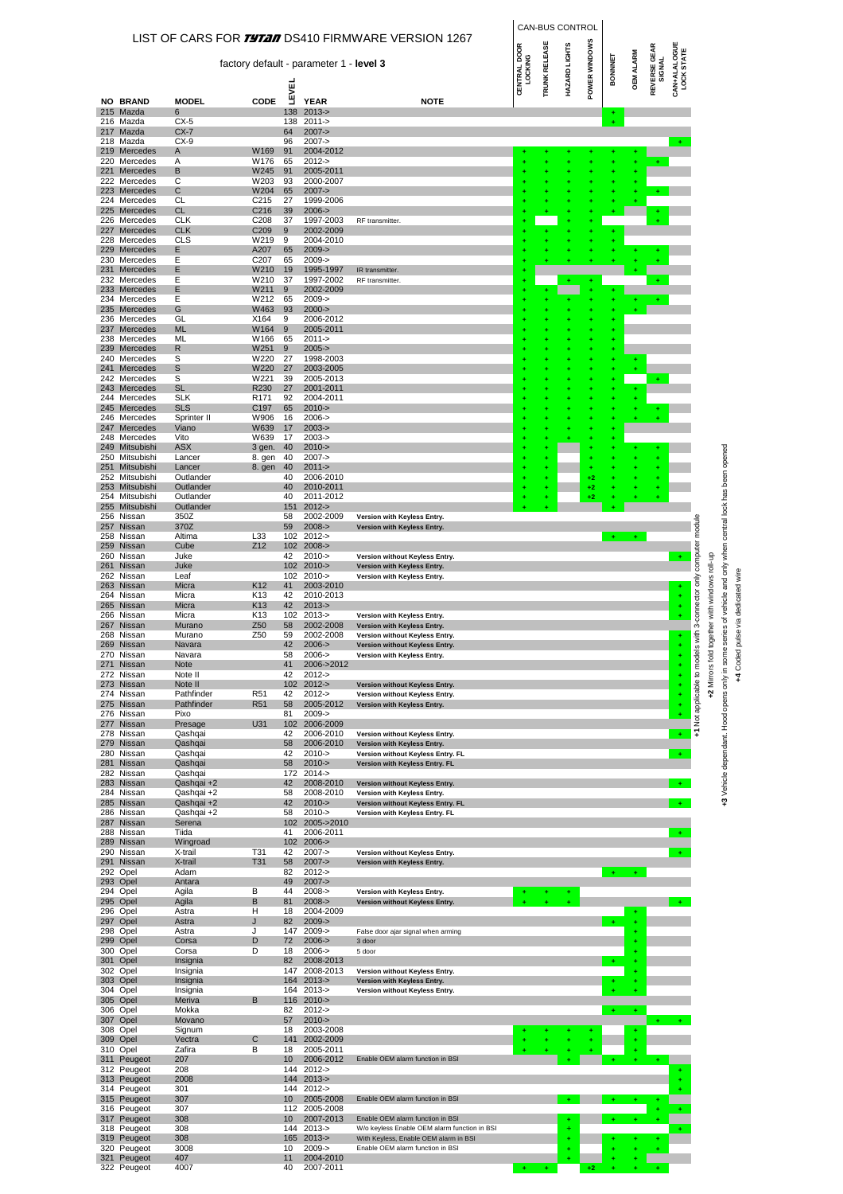|            |                                  |                          |                          |                 |                                         |                                                                                       |                                     |                      | CAN-BUS CONTROL |               |                |                  |                               |                                   |                            |                         |                                                              |
|------------|----------------------------------|--------------------------|--------------------------|-----------------|-----------------------------------------|---------------------------------------------------------------------------------------|-------------------------------------|----------------------|-----------------|---------------|----------------|------------------|-------------------------------|-----------------------------------|----------------------------|-------------------------|--------------------------------------------------------------|
|            |                                  |                          |                          |                 | factory default - parameter 1 - level 3 | LIST OF CARS FOR <i>TYTAI</i> DS410 FIRMWARE VERSION 1267                             | <b>CENTRAL DOOR</b><br>CENTRAL DOOR | <b>TRUNK RELEASE</b> | HAZARD LIGHTS   | POWER WINDOWS | <b>BONNNET</b> | <b>OEM ALARM</b> | <b>REVERSE GEAR</b><br>SIGNAL | <b>CAN+ALALOGUE</b><br>LOCK STATE |                            |                         |                                                              |
|            |                                  |                          |                          | LEVEL           |                                         |                                                                                       |                                     |                      |                 |               |                |                  |                               |                                   |                            |                         |                                                              |
|            | <b>NO BRAND</b><br>215 Mazda     | <b>MODEL</b><br>6        | CODE                     | 138             | <b>YEAR</b><br>$2013 - 5$               | <b>NOTE</b>                                                                           |                                     |                      |                 |               |                |                  |                               |                                   |                            |                         |                                                              |
|            | 216 Mazda<br>217 Mazda           | $CX-5$<br>$CX-7$         |                          | 138<br>64       | $2011 -$<br>$2007 - >$                  |                                                                                       |                                     |                      |                 |               |                |                  |                               |                                   |                            |                         |                                                              |
|            | 218 Mazda<br>219 Mercedes        | $CX-9$                   | W169                     | 96<br>91        | $2007 -$<br>2004-2012                   |                                                                                       |                                     |                      |                 |               |                |                  |                               |                                   |                            |                         |                                                              |
|            | 220 Mercedes                     | A<br>Α                   | W176                     | 65              | $2012 -$                                |                                                                                       |                                     |                      |                 |               |                |                  |                               |                                   |                            |                         |                                                              |
| 221        | Mercedes<br>222 Mercedes         | В<br>С                   | W245<br>W203             | 91<br>93        | 2005-2011<br>2000-2007                  |                                                                                       |                                     |                      |                 |               |                |                  |                               |                                   |                            |                         |                                                              |
| 223        | Mercedes<br>224 Mercedes         | С<br>CL                  | W204<br>C <sub>215</sub> | 65<br>27        | $2007 - >$<br>1999-2006                 |                                                                                       |                                     |                      |                 |               |                |                  |                               |                                   |                            |                         |                                                              |
|            | 225 Mercedes                     | <b>CL</b>                | C216                     | 39              | $2006 - >$                              |                                                                                       |                                     |                      |                 |               |                |                  |                               |                                   |                            |                         |                                                              |
|            | 226 Mercedes<br>227 Mercedes     | <b>CLK</b><br><b>CLK</b> | C <sub>208</sub><br>C209 | 37<br>9         | 1997-2003<br>2002-2009                  | RF transmitter.                                                                       |                                     |                      |                 |               | ÷              |                  |                               |                                   |                            |                         |                                                              |
|            | 228 Mercedes<br>229 Mercedes     | <b>CLS</b><br>E.         | W219<br>A207             | 9<br>65         | 2004-2010<br>$2009 - >$                 |                                                                                       |                                     |                      |                 |               |                |                  |                               |                                   |                            |                         |                                                              |
|            | 230 Mercedes                     | Ε                        | C <sub>207</sub>         | 65              | $2009 - >$                              |                                                                                       |                                     |                      |                 |               |                |                  |                               |                                   |                            |                         |                                                              |
| 231        | Mercedes<br>232 Mercedes         | Е<br>Ε                   | W210<br>W210             | 19<br>37        | 1995-1997<br>1997-2002                  | IR transmitter<br>RF transmitter.                                                     |                                     |                      |                 |               |                |                  |                               |                                   |                            |                         |                                                              |
|            | 233 Mercedes<br>234 Mercedes     | Ε<br>Е                   | W211<br>W212             | 9<br>65         | 2002-2009<br>$2009 - >$                 |                                                                                       |                                     |                      |                 |               |                |                  |                               |                                   |                            |                         |                                                              |
|            | 235 Mercedes<br>236 Mercedes     | G<br>GL                  | W463<br>X164             | 93<br>9         | $2000 - >$<br>2006-2012                 |                                                                                       |                                     |                      |                 |               |                |                  |                               |                                   |                            |                         |                                                              |
| 237        | Mercedes                         | <b>ML</b>                | W164                     | 9               | 2005-2011                               |                                                                                       |                                     |                      |                 |               | ٠              |                  |                               |                                   |                            |                         |                                                              |
|            | 238 Mercedes<br>239 Mercedes     | ML<br>R                  | W166<br>W251             | 65<br>9         | $2011 -$<br>$2005 - >$                  |                                                                                       |                                     |                      |                 |               | ÷<br>÷         |                  |                               |                                   |                            |                         |                                                              |
|            | 240 Mercedes                     | S                        | W220                     | 27              | 1998-2003                               |                                                                                       |                                     |                      |                 |               | ÷              |                  |                               |                                   |                            |                         |                                                              |
| 241        | Mercedes<br>242 Mercedes         | S<br>S                   | W220<br>W221             | 27<br>39        | 2003-2005<br>2005-2013                  |                                                                                       |                                     |                      |                 |               | ÷              |                  |                               |                                   |                            |                         |                                                              |
|            | 243 Mercedes<br>244 Mercedes     | <b>SL</b><br><b>SLK</b>  | R230<br>R <sub>171</sub> | 27<br>92        | 2001-2011<br>2004-2011                  |                                                                                       |                                     |                      |                 |               |                |                  |                               |                                   |                            |                         |                                                              |
|            | 245 Mercedes                     | <b>SLS</b>               | C197                     | 65              | $2010 - >$                              |                                                                                       |                                     |                      |                 |               |                |                  |                               |                                   |                            |                         |                                                              |
| 247        | 246 Mercedes<br>Mercedes         | Sprinter II<br>Viano     | W906<br>W639             | 16<br>17        | $2006 -$<br>$2003 - 5$                  |                                                                                       |                                     |                      |                 |               | ŧ<br>٠         |                  |                               |                                   |                            |                         |                                                              |
| 249        | 248 Mercedes<br>Mitsubishi       | Vito<br><b>ASX</b>       | W639<br>3 gen.           | 17<br>40        | $2003 - 5$<br>$2010 - >$                |                                                                                       |                                     |                      |                 |               |                |                  |                               |                                   |                            |                         |                                                              |
|            | 250 Mitsubishi                   | Lancer                   | 8. gen                   | 40              | $2007 - >$                              |                                                                                       |                                     |                      |                 |               |                |                  |                               |                                   |                            |                         |                                                              |
|            | 251 Mitsubishi<br>252 Mitsubishi | Lancer<br>Outlander      | 8. gen                   | 40<br>40        | $2011 - >$<br>2006-2010                 |                                                                                       |                                     |                      |                 | +2            |                |                  |                               |                                   |                            |                         |                                                              |
| 253        | Mitsubishi<br>254 Mitsubishi     | Outlander<br>Outlander   |                          | 40<br>40        | 2010-2011<br>2011-2012                  |                                                                                       |                                     | ٠                    |                 | +2<br>+2      |                |                  |                               |                                   |                            |                         |                                                              |
|            | 255 Mitsubishi                   | Outlander                |                          | 151             | $2012 - 5$                              |                                                                                       |                                     |                      |                 |               |                |                  |                               |                                   |                            |                         |                                                              |
|            | 256 Nissan<br>257 Nissan         | 350Z<br>370Z             |                          | 58<br>59        | 2002-2009<br>$2008 - >$                 | Version with Keyless Entry.<br>Version with Keyless Entry.                            |                                     |                      |                 |               |                |                  |                               |                                   |                            |                         | series of vehicle and only when central lock has been opened |
| 259        | 258 Nissan<br>Nissan             | Altima<br>Cube           | L33<br>Z12               | 102             | 102 2012-><br>$2008 - >$                |                                                                                       |                                     |                      |                 |               | $+$            | ÷.               |                               |                                   | computer module            |                         |                                                              |
|            | 260 Nissan                       | Juke                     |                          | 42              | $2010 -$                                | Version without Keyless Entry.                                                        |                                     |                      |                 |               |                |                  |                               |                                   |                            |                         |                                                              |
|            | 261 Nissan<br>262 Nissan         | Juke<br>Leaf             |                          | 102             | 102 2010-><br>$2010 - 5$                | Version with Keyless Entry.<br>Version with Keyless Entry.                            |                                     |                      |                 |               |                |                  |                               |                                   |                            | qu-lon                  |                                                              |
|            | 263 Nissan<br>264 Nissan         | Micra<br>Micra           | K12<br>K <sub>13</sub>   | 41<br>42        | 2003-2010<br>2010-2013                  |                                                                                       |                                     |                      |                 |               |                |                  |                               |                                   |                            |                         |                                                              |
| 265        | Nissan                           | Micra                    | K13                      | 42              | $2013 - 5$                              |                                                                                       |                                     |                      |                 |               |                |                  |                               | ÷                                 |                            |                         |                                                              |
|            | 266 Nissan<br>267 Nissan         | Micra<br>Murano          | K13<br>Z <sub>50</sub>   | 102<br>58       | $2013 -$<br>2002-2008                   | Version with Keyless Entry.<br>Version with Keyless Entry.                            |                                     |                      |                 |               |                |                  |                               |                                   | lels with 3-connector only | together with windows   | +4 Coded pulse via dedicated wire                            |
|            | 268 Nissan<br>269 Nissan         | Murano<br>Navara         | Z50                      | 59<br>42        | 2002-2008<br>$2006 - >$                 | Version without Keyless Entry.                                                        |                                     |                      |                 |               |                |                  |                               | ÷                                 |                            |                         |                                                              |
|            | 270 Nissan                       | Navara                   |                          | 58              | $2006 -$                                | Version without Keyless Entry.<br>Version with Keyless Entry.                         |                                     |                      |                 |               |                |                  |                               | ÷                                 |                            | $\overline{\mathbf{C}}$ | e<br>P                                                       |
|            | 271 Nissan<br>272 Nissan         | Note<br>Note II          |                          | 41<br>42        | 2006->2012<br>$2012 -$                  |                                                                                       |                                     |                      |                 |               |                |                  |                               | ÷                                 |                            |                         |                                                              |
|            | 273 Nissan<br>274 Nissan         | Note II<br>Pathfinder    | R <sub>51</sub>          | 102<br>42       | $2012 - 5$<br>$2012 -$                  | Version without Keyless Entry.<br>Version without Keyless Entry.                      |                                     |                      |                 |               |                |                  |                               | ÷                                 | +1 Not applicable to moo   | +2 Mirrors fo           | +3 Vehicle dependant. Hood opens only in sor                 |
|            | 275 Nissan                       | Pathfinder               | R <sub>51</sub>          | 58              | 2005-2012                               | Version with Keyless Entry.                                                           |                                     |                      |                 |               |                |                  |                               |                                   |                            |                         |                                                              |
| 277        | 276 Nissan<br>Nissan             | Pixo<br>Presage          | U31                      | 81<br>102       | $2009 - >$<br>2006-2009                 |                                                                                       |                                     |                      |                 |               |                |                  |                               |                                   |                            |                         |                                                              |
|            | 278 Nissan<br>279 Nissan         | Qashqai<br>Qashqai       |                          | 42<br>58        | 2006-2010<br>2006-2010                  | Version without Keyless Entry.<br>Version with Keyless Entry.                         |                                     |                      |                 |               |                |                  |                               | $\ddot{}$                         |                            |                         |                                                              |
|            | 280 Nissan                       | Qashqai                  |                          | 42              | $2010 - >$                              | Version without Keyless Entry. FL                                                     |                                     |                      |                 |               |                |                  |                               | $\ddot{}$                         |                            |                         |                                                              |
|            | 281 Nissan<br>282 Nissan         | Qashqai<br>Qashqai       |                          | 58              | $2010 - >$<br>172 2014->                | Version with Keyless Entry. FL                                                        |                                     |                      |                 |               |                |                  |                               |                                   |                            |                         |                                                              |
|            | 283 Nissan<br>284 Nissan         | Qashqai +2<br>Qashqai +2 |                          | 42<br>58        | 2008-2010<br>2008-2010                  | Version without Keyless Entry.<br>Version with Keyless Entry.                         |                                     |                      |                 |               |                |                  |                               | $+$                               |                            |                         |                                                              |
|            | 285 Nissan                       | Qashqai +2               |                          | 42              | $2010 - >$                              | Version without Keyless Entry. FL                                                     |                                     |                      |                 |               |                |                  |                               |                                   |                            |                         |                                                              |
|            | 286 Nissan<br>287 Nissan         | Qashqai +2<br>Serena     |                          | 58<br>102       | $2010 - >$<br>2005->2010                | Version with Keyless Entry. FL                                                        |                                     |                      |                 |               |                |                  |                               |                                   |                            |                         |                                                              |
|            | 288 Nissan<br>289 Nissan         | Tiida<br>Wingroad        |                          | 41<br>102       | 2006-2011<br>$2006 - 5$                 |                                                                                       |                                     |                      |                 |               |                |                  |                               |                                   |                            |                         |                                                              |
|            | 290 Nissan                       | X-trail                  | T31                      | 42              | $2007 - >$                              | Version without Keyless Entry.                                                        |                                     |                      |                 |               |                |                  |                               |                                   |                            |                         |                                                              |
|            | 291 Nissan<br>292 Opel           | X-trail<br>Adam          | T31                      | 58<br>82        | $2007 - >$<br>$2012 -$                  | Version with Keyless Entry.                                                           |                                     |                      |                 |               |                |                  |                               |                                   |                            |                         |                                                              |
| 293        | Opel<br>294 Opel                 | Antara<br>Agila          | В                        | 49<br>44        | $2007 - >$<br>$2008 - 5$                | Version with Keyless Entry.                                                           |                                     |                      |                 |               |                |                  |                               |                                   |                            |                         |                                                              |
|            | 295 Opel                         | Agila                    | В                        | 81              | $2008 - >$                              | Version without Keyless Entry.                                                        |                                     |                      |                 |               |                |                  |                               |                                   |                            |                         |                                                              |
| 296<br>297 | Opel<br>Opel                     | Astra<br>Astra           | Н<br>J                   | 18<br>82        | 2004-2009<br>$2009 - >$                 |                                                                                       |                                     |                      |                 |               |                | ÷                |                               |                                   |                            |                         |                                                              |
| 299        | 298 Opel<br>Opel                 | Astra<br>Corsa           | J<br>D                   | 147<br>72       | $2009 - >$<br>$2006 - >$                | False door ajar signal when arming<br>3 door                                          |                                     |                      |                 |               |                |                  |                               |                                   |                            |                         |                                                              |
|            | 300 Opel                         | Corsa                    | D                        | 18              | $2006 -$                                | 5 door                                                                                |                                     |                      |                 |               |                |                  |                               |                                   |                            |                         |                                                              |
|            | 301 Opel<br>302 Opel             | Insignia<br>Insignia     |                          | 82<br>147       | 2008-2013<br>2008-2013                  | Version without Keyless Entry.                                                        |                                     |                      |                 |               |                |                  |                               |                                   |                            |                         |                                                              |
| 303        | Opel<br>304 Opel                 | Insignia<br>Insignia     |                          | 164<br>164      | $2013 - 5$<br>$2013 -$                  | Version with Keyless Entry.<br>Version without Keyless Entry.                         |                                     |                      |                 |               |                |                  |                               |                                   |                            |                         |                                                              |
|            | 305 Opel                         | Meriva                   | B                        |                 | 116 2010->                              |                                                                                       |                                     |                      |                 |               |                |                  |                               |                                   |                            |                         |                                                              |
| 307        | 306 Opel<br>Opel                 | Mokka<br>Movano          |                          | 82<br>57        | $2012 - 5$<br>$2010 - >$                |                                                                                       |                                     |                      |                 |               |                |                  |                               |                                   |                            |                         |                                                              |
| 308<br>309 | Opel<br>Opel                     | Signum<br>Vectra         | С                        | 18<br>141       | 2003-2008<br>2002-2009                  |                                                                                       |                                     |                      |                 |               |                | ÷<br>÷           |                               |                                   |                            |                         |                                                              |
|            | 310 Opel                         | Zafira                   | B                        | 18              | 2005-2011                               |                                                                                       |                                     |                      |                 |               |                |                  |                               |                                   |                            |                         |                                                              |
|            | 311 Peugeot<br>312 Peugeot       | 207<br>208               |                          | 10<br>144       | 2006-2012<br>$2012 -$                   | Enable OEM alarm function in BSI                                                      |                                     |                      |                 |               |                |                  |                               |                                   |                            |                         |                                                              |
|            | 313 Peugeot                      | 2008<br>301              |                          | 144<br>144      | $2013 - 5$<br>$2012 - 5$                |                                                                                       |                                     |                      |                 |               |                |                  |                               |                                   |                            |                         |                                                              |
|            | 314 Peugeot<br>315 Peugeot       | 307                      |                          | 10 <sup>°</sup> | 2005-2008                               | Enable OEM alarm function in BSI                                                      |                                     |                      |                 |               |                |                  |                               |                                   |                            |                         |                                                              |
|            | 316 Peugeot<br>317 Peugeot       | 307<br>308               |                          | 10              | 112 2005-2008<br>2007-2013              | Enable OEM alarm function in BSI                                                      |                                     |                      |                 |               |                |                  |                               |                                   |                            |                         |                                                              |
|            | 318 Peugeot<br>319 Peugeot       | 308<br>308               |                          |                 | 144 2013-><br>$2013 - 5$                | W/o keyless Enable OEM alarm function in BSI<br>With Keyless, Enable OEM alarm in BSI |                                     |                      |                 |               |                |                  |                               |                                   |                            |                         |                                                              |
|            | 320 Peugeot                      | 3008                     |                          | 165<br>10       | $2009 - >$                              | Enable OEM alarm function in BSI                                                      |                                     |                      |                 |               |                |                  |                               |                                   |                            |                         |                                                              |
|            | 321 Peugeot<br>322 Peugeot       | 407<br>4007              |                          | 11<br>40        | 2004-2010<br>2007-2011                  |                                                                                       |                                     |                      |                 | +2            |                |                  |                               |                                   |                            |                         |                                                              |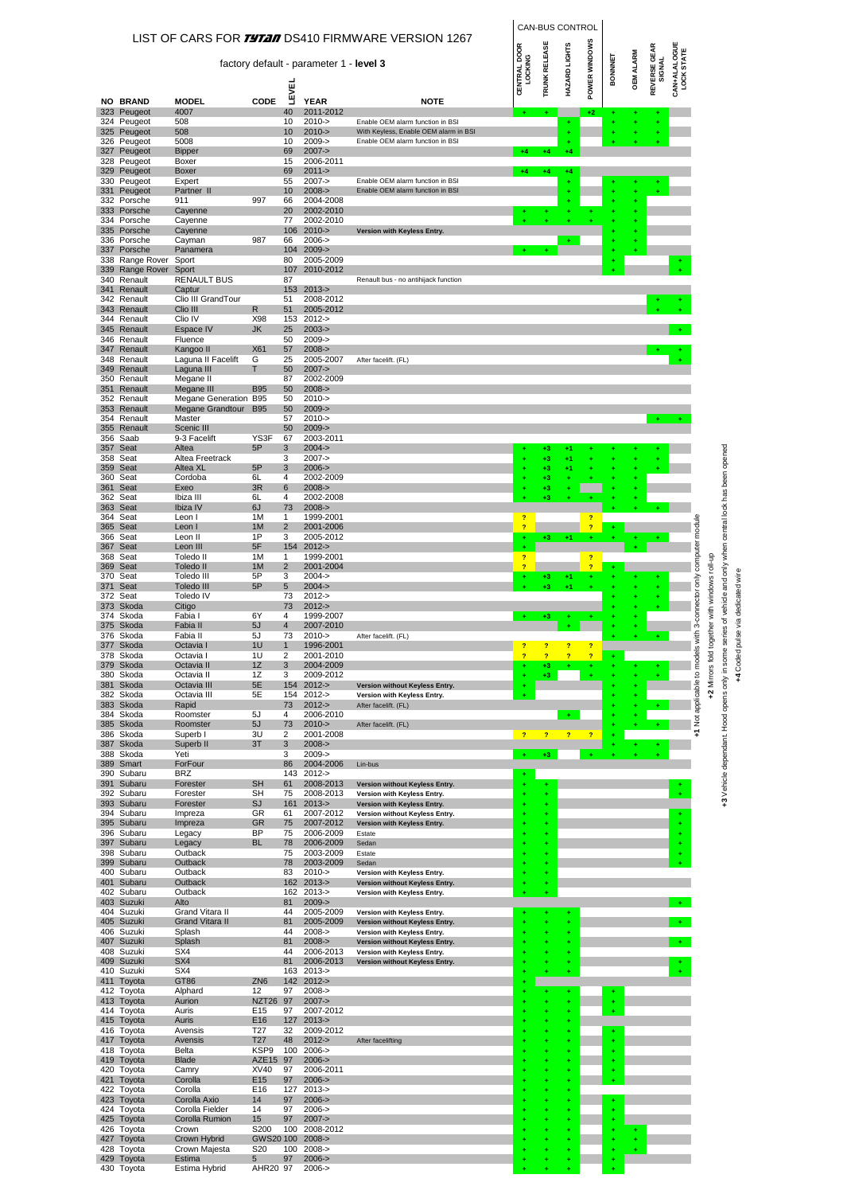|            |                                          |                                           |                           |                                |                                         |                                                               |                                  |                      | CAN-BUS CONTROL |                                  |         |                  |                               |                                   |                                       |                                                                                              |                |
|------------|------------------------------------------|-------------------------------------------|---------------------------|--------------------------------|-----------------------------------------|---------------------------------------------------------------|----------------------------------|----------------------|-----------------|----------------------------------|---------|------------------|-------------------------------|-----------------------------------|---------------------------------------|----------------------------------------------------------------------------------------------|----------------|
|            |                                          |                                           |                           |                                |                                         | LIST OF CARS FOR <i>TYTAN</i> DS410 FIRMWARE VERSION 1267     |                                  |                      |                 |                                  |         |                  |                               |                                   |                                       |                                                                                              |                |
|            |                                          |                                           |                           |                                | factory default - parameter 1 - level 3 |                                                               | <b>CENTRAL DOOR</b><br>LOCKING   | <b>TRUNK RELEASE</b> | HAZARD LIGHTS   | POWER WINDOWS                    | BONNNET | <b>OEM ALARM</b> | <b>REVERSE GEAR</b><br>SIGNAL | <b>CAN+ALALOGUE</b><br>LOCK STATE |                                       |                                                                                              |                |
|            | <b>NO BRAND</b>                          | <b>MODEL</b>                              | CODE                      | <b>LEVEL</b>                   | <b>YEAR</b>                             | <b>NOTE</b>                                                   |                                  |                      |                 |                                  |         |                  |                               |                                   |                                       |                                                                                              |                |
|            | 323 Peugeot                              | 4007<br>508                               |                           | 40                             | 2011-2012<br>$2010 - >$                 | Enable OEM alarm function in BSI                              |                                  | ÷                    |                 | $+2$                             |         |                  |                               |                                   |                                       |                                                                                              |                |
|            | 324 Peugeot<br>325 Peugeot               | 508                                       |                           | 10<br>10                       | $2010 - >$                              | With Keyless, Enable OEM alarm in BSI                         |                                  |                      | ٠<br>٠          |                                  |         |                  |                               |                                   |                                       |                                                                                              |                |
|            | 326 Peugeot<br>327 Peugeot               | 5008<br><b>Bipper</b>                     |                           | 10<br>69                       | $2009 - >$<br>$2007 - >$                | Enable OEM alarm function in BSI                              | $+4$                             | $+4$                 | $+4$            |                                  |         |                  |                               |                                   |                                       |                                                                                              |                |
|            | 328 Peugeot<br>329 Peugeot               | Boxer<br>Boxer                            |                           | 15<br>69                       | 2006-2011<br>$2011 - >$                 |                                                               | $+4$                             | $+4$                 | +4              |                                  |         |                  |                               |                                   |                                       |                                                                                              |                |
|            | 330 Peugeot                              | Expert                                    |                           | 55                             | $2007 - >$                              | Enable OEM alarm function in BSI                              |                                  |                      |                 |                                  |         |                  |                               |                                   |                                       |                                                                                              |                |
|            | 331 Peugeot<br>332 Porsche               | Partner II<br>911                         | 997                       | 10<br>66                       | $2008 - >$<br>2004-2008                 | Enable OEM alarm function in BSI                              |                                  |                      |                 |                                  |         |                  |                               |                                   |                                       |                                                                                              |                |
|            | 333 Porsche<br>334 Porsche               | Cayenne<br>Cayenne                        |                           | 20<br>77                       | 2002-2010<br>2002-2010                  |                                                               |                                  |                      |                 |                                  |         |                  |                               |                                   |                                       |                                                                                              |                |
|            | 335 Porsche<br>336 Porsche               | Cayenne<br>Cayman                         | 987                       | 106<br>66                      | $2010 - >$<br>$2006 -$                  | Version with Keyless Entry.                                   |                                  |                      | ÷               |                                  |         |                  |                               |                                   |                                       |                                                                                              |                |
|            | 337 Porsche                              | Panamera                                  |                           | 104                            | $2009 - >$                              |                                                               |                                  |                      |                 |                                  |         |                  |                               |                                   |                                       |                                                                                              |                |
|            | 338 Range Rover Sport<br>339 Range Rover | Sport                                     |                           | 80<br>107                      | 2005-2009<br>2010-2012                  |                                                               |                                  |                      |                 |                                  |         |                  |                               |                                   |                                       |                                                                                              |                |
|            | 340 Renault<br>341 Renault               | <b>RENAULT BUS</b><br>Captur              |                           | 87<br>153                      | $2013 - 5$                              | Renault bus - no antihijack function                          |                                  |                      |                 |                                  |         |                  |                               |                                   |                                       |                                                                                              |                |
|            | 342 Renault<br>343 Renault               | Clio III GrandTour<br>Clio III            | R                         | 51<br>51                       | 2008-2012<br>2005-2012                  |                                                               |                                  |                      |                 |                                  |         |                  |                               |                                   |                                       |                                                                                              |                |
|            | 344 Renault                              | Clio IV                                   | X98                       | 153                            | $2012 - 5$                              |                                                               |                                  |                      |                 |                                  |         |                  |                               |                                   |                                       |                                                                                              |                |
|            | 345 Renault<br>346 Renault               | Espace IV<br>Fluence                      | JK                        | 25<br>50                       | $2003 - 5$<br>$2009 -$                  |                                                               |                                  |                      |                 |                                  |         |                  |                               |                                   |                                       |                                                                                              |                |
|            | 347 Renault<br>348 Renault               | Kangoo II<br>Laguna II Facelift           | <b>X61</b><br>G           | 57<br>25                       | $2008 - >$<br>2005-2007                 | After facelift. (FL)                                          |                                  |                      |                 |                                  |         |                  |                               |                                   |                                       |                                                                                              |                |
|            | 349 Renault<br>350 Renault               | Laguna III<br>Megane II                   | т                         | 50<br>87                       | $2007 - >$<br>2002-2009                 |                                                               |                                  |                      |                 |                                  |         |                  |                               |                                   |                                       |                                                                                              |                |
|            | 351 Renault                              | Megane III                                | <b>B95</b>                | 50                             | $2008 - >$                              |                                                               |                                  |                      |                 |                                  |         |                  |                               |                                   |                                       |                                                                                              |                |
|            | 352 Renault<br>353 Renault               | Megane Generation B95<br>Megane Grandtour | <b>B95</b>                | 50<br>50                       | $2010 - >$<br>$2009 - >$                |                                                               |                                  |                      |                 |                                  |         |                  |                               |                                   |                                       |                                                                                              |                |
|            | 354 Renault<br>355 Renault               | Master<br>Scenic III                      |                           | 57<br>50                       | $2010 - >$<br>$2009 - >$                |                                                               |                                  |                      |                 |                                  |         |                  |                               |                                   |                                       |                                                                                              |                |
|            | 356 Saab                                 | 9-3 Facelift                              | YS3F                      | 67                             | 2003-2011                               |                                                               |                                  |                      |                 |                                  |         |                  |                               |                                   |                                       |                                                                                              |                |
| 358        | 357 Seat<br>Seat                         | Altea<br>Altea Freetrack                  | 5P                        | 3<br>3                         | $2004 - 5$<br>$2007 - >$                |                                                               |                                  | +3<br>+3             | $+1$<br>$+1$    |                                  |         |                  |                               |                                   |                                       |                                                                                              |                |
| 359        | Seat<br>360 Seat                         | Altea XL<br>Cordoba                       | 5P<br>6L                  | 3<br>4                         | $2006 - >$<br>2002-2009                 |                                                               |                                  | $+3$<br>+3           | $+1$            |                                  |         |                  |                               |                                   |                                       |                                                                                              |                |
|            | 361 Seat<br>362 Seat                     | Exeo<br>Ibiza III                         | 3R<br>6L                  | 6<br>4                         | $2008 - >$<br>2002-2008                 |                                                               |                                  | +3<br>+3             |                 |                                  |         |                  |                               |                                   |                                       |                                                                                              |                |
|            | 363 Seat                                 | Ibiza IV                                  | 6J                        | 73                             | $2008 - >$                              |                                                               |                                  |                      |                 |                                  |         |                  |                               |                                   |                                       |                                                                                              |                |
| 365        | 364 Seat<br>Seat                         | Leon I<br>Leon I                          | 1M<br>1M                  | 1<br>$\overline{2}$            | 1999-2001<br>2001-2006                  |                                                               | $\overline{?}$<br>$\overline{?}$ |                      |                 | $\overline{ }$<br>$\overline{?}$ |         |                  |                               |                                   |                                       |                                                                                              |                |
|            | 366 Seat<br>367 Seat                     | Leon II<br>Leon III                       | 1P<br>5F                  | 3<br>154                       | 2005-2012<br>$2012 - >$                 |                                                               | ٠                                | +3                   | $+1$            |                                  |         |                  |                               |                                   |                                       |                                                                                              |                |
|            | 368 Seat<br>369 Seat                     | Toledo II<br>Toledo II                    | 1M<br>1M                  | $\mathbf{1}$<br>$\overline{c}$ | 1999-2001<br>2001-2004                  |                                                               | <sub>2</sub><br>2                |                      |                 | $\overline{?}$<br>$\overline{?}$ |         |                  |                               |                                   |                                       |                                                                                              |                |
|            | 370 Seat                                 | Toledo III                                | 5P                        | 3                              | $2004 -$                                |                                                               |                                  | +3                   | $+1$            |                                  |         |                  |                               |                                   |                                       |                                                                                              |                |
| 371        | Seat<br>372 Seat                         | <b>Toledo III</b><br>Toledo IV            | 5P                        | 5<br>73                        | $2004 - >$<br>$2012 - 5$                |                                                               |                                  | +3                   | +1              |                                  |         |                  |                               |                                   |                                       |                                                                                              | dedicated wire |
|            | 373 Skoda<br>374 Skoda                   | Citigo<br>Fabia I                         | 6Y                        | 73<br>4                        | $2012 - >$<br>1999-2007                 |                                                               |                                  | $+3$                 |                 |                                  |         |                  |                               |                                   | with 3-connector only computer module | series of vehicle and only when central lock has been opened<br>ogether with windows roll-up |                |
|            | 375 Skoda                                | Fabia II<br>Fabia II                      | 5J                        | $\overline{4}$<br>73           | 2007-2010                               |                                                               |                                  |                      |                 |                                  |         |                  |                               |                                   |                                       |                                                                                              | pulse via      |
|            | 376 Skoda<br>377 Skoda                   | Octavia                                   | 5J<br>111                 | $\overline{1}$                 | $2010 - >$<br>1996-2001                 | After facelift. (FL)                                          | $\overline{2}$                   |                      |                 |                                  |         |                  | ÷                             |                                   |                                       |                                                                                              |                |
|            | 378 Skoda<br>379 Skoda                   | Octavia I<br>Octavia II                   | 1U<br>1Z                  | 2<br>3                         | 2001-2010<br>2004-2009                  |                                                               | $\overline{?}$                   | $\overline{?}$<br>+3 | $\overline{?}$  | $\overline{2}$                   |         |                  |                               |                                   | +1 Not applicable to models           | +2 Mirrors fold t<br>+3 Vehicle dependant. Hood opens only in some                           | Coded          |
| 380<br>381 | Skoda<br>Skoda                           | Octavia II<br>Octavia III                 | 1Z<br>5E                  | 3<br>154                       | 2009-2012<br>$2012 - >$                 | Version without Keyless Entry.                                |                                  | $+3$                 |                 |                                  |         |                  |                               |                                   |                                       |                                                                                              | 7              |
|            | 382 Skoda                                | Octavia III                               | 5E                        | 154                            | $2012 -$                                | Version with Keyless Entry.                                   |                                  |                      |                 |                                  |         |                  |                               |                                   |                                       |                                                                                              |                |
|            | 383 Skoda<br>384 Skoda                   | Rapid<br>Roomster                         | 5J                        | 73<br>4                        | $2012 - 5$<br>2006-2010                 | After facelift. (FL)                                          |                                  |                      |                 |                                  |         |                  |                               |                                   |                                       |                                                                                              |                |
|            | 385 Skoda<br>386 Skoda                   | Roomster<br>Superb I                      | 5J<br>3U                  | 73<br>2                        | $2010 - >$<br>2001-2008                 | After facelift. (FL)                                          | $\overline{ }$                   | $\overline{?}$       | $\overline{?}$  | $\overline{?}$                   |         |                  |                               |                                   |                                       |                                                                                              |                |
| 387        | Skoda<br>388 Skoda                       | Superb II<br>Yeti                         | 3T                        | 3<br>3                         | $2008 - >$<br>2009->                    |                                                               |                                  |                      |                 |                                  |         |                  |                               |                                   |                                       |                                                                                              |                |
|            | 389 Smart                                | ForFour                                   |                           | 86                             | 2004-2006                               | Lin-bus                                                       |                                  | +3                   |                 |                                  |         |                  |                               |                                   |                                       |                                                                                              |                |
| 390<br>391 | Subaru<br>Subaru                         | <b>BRZ</b><br>Forester                    | <b>SH</b>                 | 143<br>61                      | $2012 -$<br>2008-2013                   | Version without Keyless Entry.                                |                                  | ٠                    |                 |                                  |         |                  |                               |                                   |                                       |                                                                                              |                |
| 393        | 392 Subaru<br>Subaru                     | Forester<br>Forester                      | SН<br>SJ                  | 75<br>161                      | 2008-2013<br>$2013 - 5$                 | Version with Keyless Entry.<br>Version with Keyless Entry.    |                                  |                      |                 |                                  |         |                  |                               |                                   |                                       |                                                                                              |                |
|            | 394 Subaru                               | Impreza                                   | GR                        | 61                             | 2007-2012                               | Version without Keyless Entry.                                |                                  | ٠                    |                 |                                  |         |                  |                               |                                   |                                       |                                                                                              |                |
| 396        | 395 Subaru<br>Subaru                     | Impreza<br>Legacy                         | GR<br>ΒP                  | 75<br>75                       | 2007-2012<br>2006-2009                  | Version with Keyless Entry.<br>Estate                         |                                  | ٠<br>ŧ               |                 |                                  |         |                  |                               |                                   |                                       |                                                                                              |                |
| 397        | Subaru<br>398 Subaru                     | Legacy<br>Outback                         | <b>BL</b>                 | 78<br>75                       | 2006-2009<br>2003-2009                  | Sedan<br>Estate                                               |                                  | ŧ<br>٠               |                 |                                  |         |                  |                               |                                   |                                       |                                                                                              |                |
| 399        | Subaru<br>400 Subaru                     | Outback<br>Outback                        |                           | 78<br>83                       | 2003-2009<br>$2010 - >$                 | Sedan<br>Version with Keyless Entry.                          |                                  | ٠<br>÷               |                 |                                  |         |                  |                               |                                   |                                       |                                                                                              |                |
|            | 401 Subaru                               | Outback                                   |                           | 162                            | $2013 - >$                              | Version without Keyless Entry.                                |                                  | ŧ                    |                 |                                  |         |                  |                               |                                   |                                       |                                                                                              |                |
| 403        | 402 Subaru<br>Suzuki                     | Outback<br>Alto                           |                           | 162<br>81                      | $2013 - 5$<br>$2009 - >$                | Version with Keyless Entry.                                   |                                  | ٠                    |                 |                                  |         |                  |                               |                                   |                                       |                                                                                              |                |
|            | 404 Suzuki<br>405 Suzuki                 | Grand Vitara II<br><b>Grand Vitara II</b> |                           | 44<br>81                       | 2005-2009<br>2005-2009                  | Version with Keyless Entry.<br>Version without Keyless Entry. |                                  |                      |                 |                                  |         |                  |                               |                                   |                                       |                                                                                              |                |
|            | 406 Suzuki<br>407 Suzuki                 | Splash<br>Splash                          |                           | 44<br>81                       | $2008 - 5$<br>$2008 - >$                | Version with Keyless Entry.                                   |                                  |                      |                 |                                  |         |                  |                               |                                   |                                       |                                                                                              |                |
|            | 408 Suzuki                               | SX4                                       |                           | 44                             | 2006-2013                               | Version without Keyless Entry.<br>Version with Keyless Entry. |                                  |                      |                 |                                  |         |                  |                               |                                   |                                       |                                                                                              |                |
|            | 409 Suzuki<br>410 Suzuki                 | SX4<br>SX4                                |                           | 81<br>163                      | 2006-2013<br>$2013 - 5$                 | Version without Keyless Entry.                                |                                  |                      | ÷               |                                  |         |                  |                               |                                   |                                       |                                                                                              |                |
|            | 411 Toyota<br>412 Toyota                 | GT86<br>Alphard                           | ZN <sub>6</sub><br>12     | 142<br>97                      | $2012 - 5$<br>$2008 - 5$                |                                                               |                                  | ٠                    |                 |                                  |         |                  |                               |                                   |                                       |                                                                                              |                |
|            | 413 Toyota                               | Aurion                                    | NZT <sub>26</sub>         | 97                             | $2007 - >$                              |                                                               |                                  |                      |                 |                                  |         |                  |                               |                                   |                                       |                                                                                              |                |
|            | 414 Toyota<br>415 Toyota                 | Auris<br>Auris                            | E15<br>E16                | 97<br>127                      | 2007-2012<br>$2013 - 5$                 |                                                               |                                  |                      | ÷               |                                  |         |                  |                               |                                   |                                       |                                                                                              |                |
|            | 416 Toyota<br>417 Toyota                 | Avensis<br>Avensis                        | T <sub>27</sub><br>T27    | 32<br>48                       | 2009-2012<br>$2012 - 5$                 | After facelifting                                             |                                  |                      | ÷               |                                  |         |                  |                               |                                   |                                       |                                                                                              |                |
|            | 418 Toyota                               | Belta                                     | KSP9                      | 100<br>97                      | $2006 -$                                |                                                               |                                  |                      | ÷               |                                  |         |                  |                               |                                   |                                       |                                                                                              |                |
|            | 419 Toyota<br>420 Toyota                 | <b>Blade</b><br>Camry                     | AZE <sub>15</sub><br>XV40 | 97                             | $2006 - >$<br>2006-2011                 |                                                               |                                  |                      | ÷<br>٠          |                                  |         |                  |                               |                                   |                                       |                                                                                              |                |
|            | 421 Toyota<br>422 Toyota                 | Corolla<br>Corolla                        | E <sub>15</sub><br>E16    | 97<br>127                      | $2006 - >$<br>$2013 - 5$                |                                                               |                                  |                      | ÷<br>٠          |                                  |         |                  |                               |                                   |                                       |                                                                                              |                |
|            | 423 Toyota<br>424 Toyota                 | Corolla Axio<br>Corolla Fielder           | 14<br>14                  | 97<br>97                       | $2006 - >$<br>$2006 -$                  |                                                               |                                  |                      | ٠               |                                  |         |                  |                               |                                   |                                       |                                                                                              |                |
|            | 425 Toyota                               | Corolla Rumion                            | 15                        | 97                             | $2007 - >$                              |                                                               |                                  |                      |                 |                                  |         |                  |                               |                                   |                                       |                                                                                              |                |
|            | 426 Toyota<br>427 Toyota                 | Crown<br>Crown Hybrid                     | S200<br>GWS20 100         | 100                            | 2008-2012<br>$2008 - >$                 |                                                               |                                  |                      |                 |                                  |         |                  |                               |                                   |                                       |                                                                                              |                |
|            | 428 Toyota<br>429 Toyota                 | Crown Majesta<br>Estima                   | S <sub>20</sub><br>5      | 100<br>97                      | $2008 - 5$<br>$2006 - >$                |                                                               |                                  |                      |                 |                                  |         |                  |                               |                                   |                                       |                                                                                              |                |
|            | 430 Toyota                               | Estima Hybrid                             | AHR20 97                  |                                | $2006 -$                                |                                                               |                                  |                      |                 |                                  |         |                  |                               |                                   |                                       |                                                                                              |                |